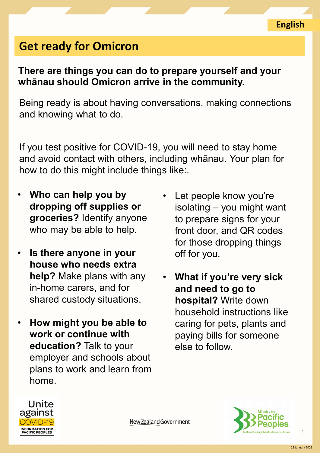## **Get ready for Omicron**

## **There are things you can do to prepare yourself and your whānau should Omicron arrive in the community.**

Being ready is about having conversations, making connections and knowing what to do.

If you test positive for COVID-19, you will need to stay home and avoid contact with others, including whānau. Your plan for how to do this might include things like:.

New Zealand Government

- **Who can help you by dropping off supplies or groceries?** Identify anyone who may be able to help.
- **Is there anyone in your house who needs extra help?** Make plans with any in-home carers, and for shared custody situations.
- **How might you be able to work or continue with education?** Talk to your employer and schools about plans to work and learn from home.
- Let people know you're isolating – you might want to prepare signs for your front door, and QR codes for those dropping things off for you.
- **What if you're very sick and need to go to hospital?** Write down household instructions like caring for pets, plants and paying bills for someone else to follow.



1